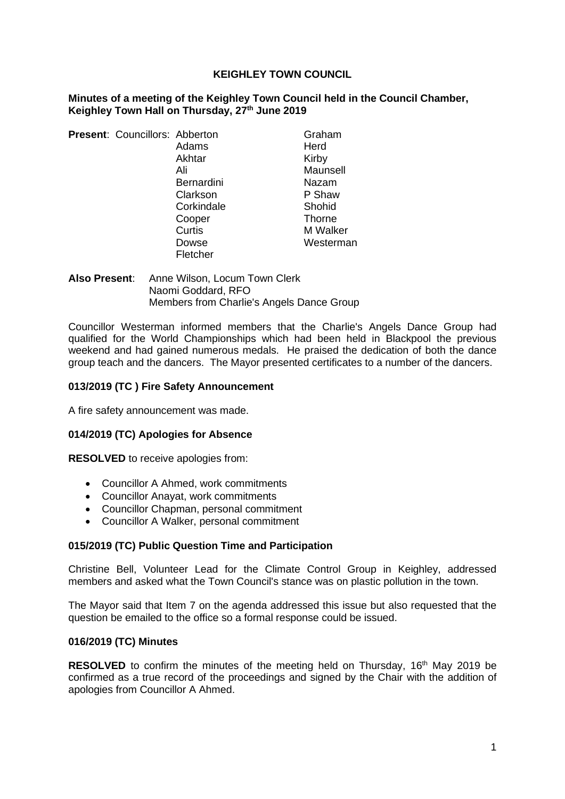### **KEIGHLEY TOWN COUNCIL**

#### **Minutes of a meeting of the Keighley Town Council held in the Council Chamber, Keighley Town Hall on Thursday, 27th June 2019**

**Present: Councillors: Abberton Graham** Adams Herd Akhtar Kirby Ali Maunsell Bernardini Nazam Clarkson P Shaw Corkindale Shohid Cooper Thorne Curtis M Walker Fletcher

Dowse Westerman

**Also Present**: Anne Wilson, Locum Town Clerk Naomi Goddard, RFO Members from Charlie's Angels Dance Group

Councillor Westerman informed members that the Charlie's Angels Dance Group had qualified for the World Championships which had been held in Blackpool the previous weekend and had gained numerous medals. He praised the dedication of both the dance group teach and the dancers. The Mayor presented certificates to a number of the dancers.

## **013/2019 (TC ) Fire Safety Announcement**

A fire safety announcement was made.

## **014/2019 (TC) Apologies for Absence**

**RESOLVED** to receive apologies from:

- Councillor A Ahmed, work commitments
- Councillor Anayat, work commitments
- Councillor Chapman, personal commitment
- Councillor A Walker, personal commitment

## **015/2019 (TC) Public Question Time and Participation**

Christine Bell, Volunteer Lead for the Climate Control Group in Keighley, addressed members and asked what the Town Council's stance was on plastic pollution in the town.

The Mayor said that Item 7 on the agenda addressed this issue but also requested that the question be emailed to the office so a formal response could be issued.

#### **016/2019 (TC) Minutes**

**RESOLVED** to confirm the minutes of the meeting held on Thursday, 16<sup>th</sup> May 2019 be confirmed as a true record of the proceedings and signed by the Chair with the addition of apologies from Councillor A Ahmed.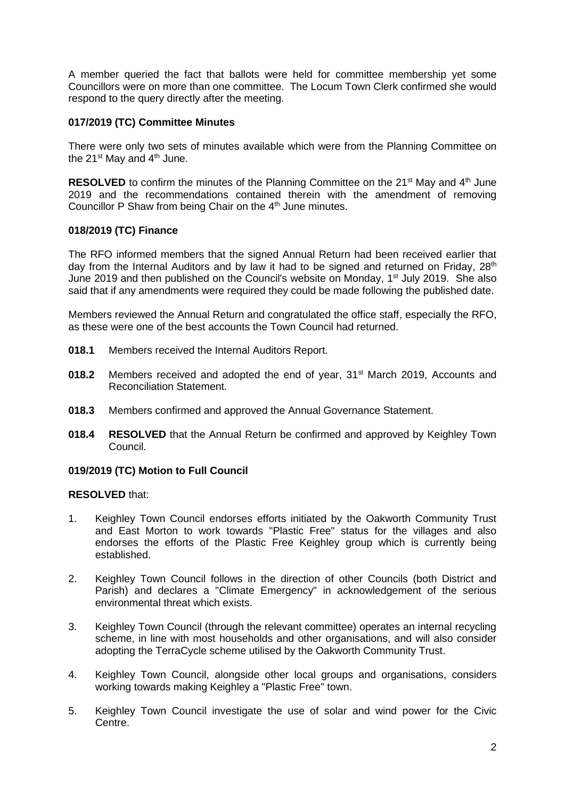A member queried the fact that ballots were held for committee membership yet some Councillors were on more than one committee. The Locum Town Clerk confirmed she would respond to the query directly after the meeting.

# **017/2019 (TC) Committee Minutes**

There were only two sets of minutes available which were from the Planning Committee on the  $21^{st}$  May and  $4^{th}$  June.

**RESOLVED** to confirm the minutes of the Planning Committee on the 21<sup>st</sup> May and 4<sup>th</sup> June 2019 and the recommendations contained therein with the amendment of removing Councillor P Shaw from being Chair on the 4<sup>th</sup> June minutes.

# **018/2019 (TC) Finance**

The RFO informed members that the signed Annual Return had been received earlier that day from the Internal Auditors and by law it had to be signed and returned on Friday,  $28<sup>th</sup>$ June 2019 and then published on the Council's website on Monday, 1<sup>st</sup> July 2019. She also said that if any amendments were required they could be made following the published date.

Members reviewed the Annual Return and congratulated the office staff, especially the RFO, as these were one of the best accounts the Town Council had returned.

- **018.1** Members received the Internal Auditors Report.
- **018.2** Members received and adopted the end of year, 31<sup>st</sup> March 2019, Accounts and Reconciliation Statement.
- **018.3** Members confirmed and approved the Annual Governance Statement.
- **018.4 RESOLVED** that the Annual Return be confirmed and approved by Keighley Town Council.

## **019/2019 (TC) Motion to Full Council**

## **RESOLVED** that:

- 1. Keighley Town Council endorses efforts initiated by the Oakworth Community Trust and East Morton to work towards "Plastic Free" status for the villages and also endorses the efforts of the Plastic Free Keighley group which is currently being established.
- 2. Keighley Town Council follows in the direction of other Councils (both District and Parish) and declares a "Climate Emergency" in acknowledgement of the serious environmental threat which exists.
- 3. Keighley Town Council (through the relevant committee) operates an internal recycling scheme, in line with most households and other organisations, and will also consider adopting the TerraCycle scheme utilised by the Oakworth Community Trust.
- 4. Keighley Town Council, alongside other local groups and organisations, considers working towards making Keighley a "Plastic Free" town.
- 5. Keighley Town Council investigate the use of solar and wind power for the Civic Centre.